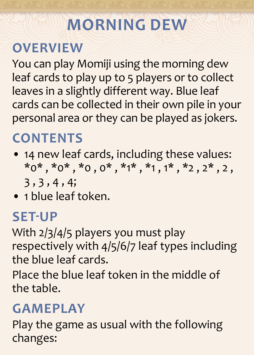# **MORNING DEW**

# **OVERVIEW**

You can play Momiji using the morning dew leaf cards to play up to 5 players or to collect leaves in a slightly different way. Blue leaf cards can be collected in their own pile in your personal area or they can be played as jokers.

# **CONTENTS**

- 14 new leaf cards, including these values:  $*0^*$ ,  $*0^*$ ,  $*0$ ,  $0^*$ ,  $*1^*$ ,  $*1$ ,  $1^*$ ,  $*2$ ,  $2^*$ , 2, 3 , 3 , 4 , 4;
- 1 blue leaf token.

#### **SET-UP**

With 2/3/4/5 players you must play respectively with 4/5/6/7 leaf types including the blue leaf cards.

Place the blue leaf token in the middle of the table.

## **GAMEPLAY**

Play the game as usual with the following changes: